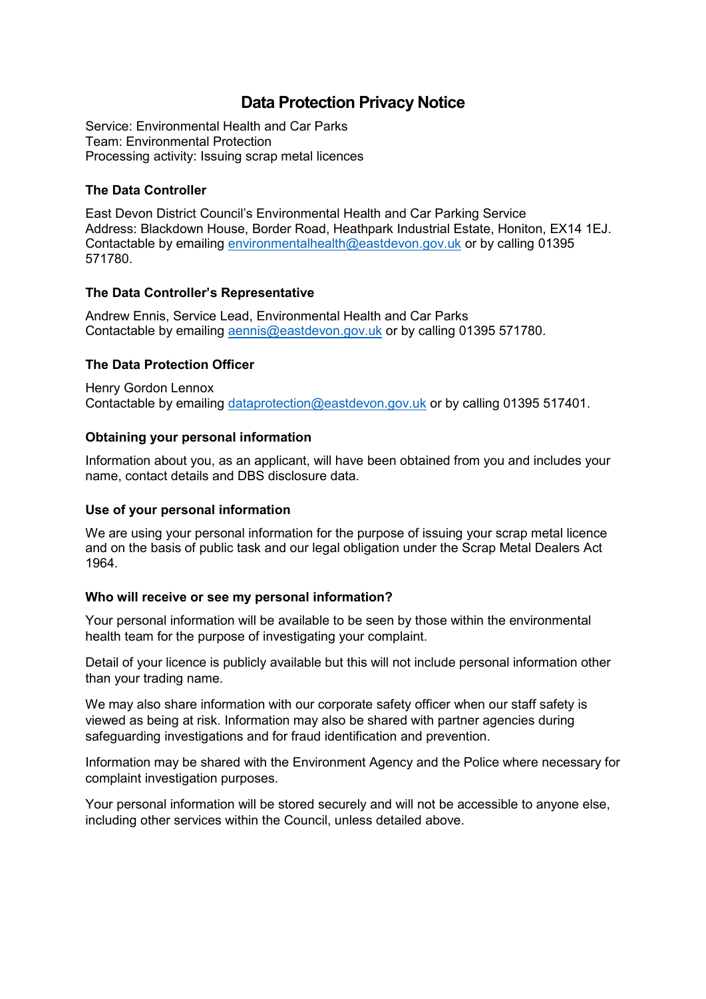# **Data Protection Privacy Notice**

Service: Environmental Health and Car Parks Team: Environmental Protection Processing activity: Issuing scrap metal licences

### **The Data Controller**

East Devon District Council's Environmental Health and Car Parking Service Address: Blackdown House, Border Road, Heathpark Industrial Estate, Honiton, EX14 1EJ. Contactable by emailing [environmentalhealth@eastdevon.gov.uk](mailto:environmentalhealth@eastdevon.gov.uk) or by calling 01395 571780.

#### **The Data Controller's Representative**

Andrew Ennis, Service Lead, Environmental Health and Car Parks Contactable by emailing [aennis@eastdevon.gov.uk](mailto:aennis@eastdevon.gov.uk) or by calling 01395 571780.

## **The Data Protection Officer**

Henry Gordon Lennox Contactable by emailing [dataprotection@eastdevon.gov.uk](mailto:dataprotection@eastdevon.gov.uk) or by calling 01395 517401.

#### **Obtaining your personal information**

Information about you, as an applicant, will have been obtained from you and includes your name, contact details and DBS disclosure data.

#### **Use of your personal information**

We are using your personal information for the purpose of issuing your scrap metal licence and on the basis of public task and our legal obligation under the Scrap Metal Dealers Act 1964.

#### **Who will receive or see my personal information?**

Your personal information will be available to be seen by those within the environmental health team for the purpose of investigating your complaint.

Detail of your licence is publicly available but this will not include personal information other than your trading name.

We may also share information with our corporate safety officer when our staff safety is viewed as being at risk. Information may also be shared with partner agencies during safeguarding investigations and for fraud identification and prevention.

Information may be shared with the Environment Agency and the Police where necessary for complaint investigation purposes.

Your personal information will be stored securely and will not be accessible to anyone else, including other services within the Council, unless detailed above.